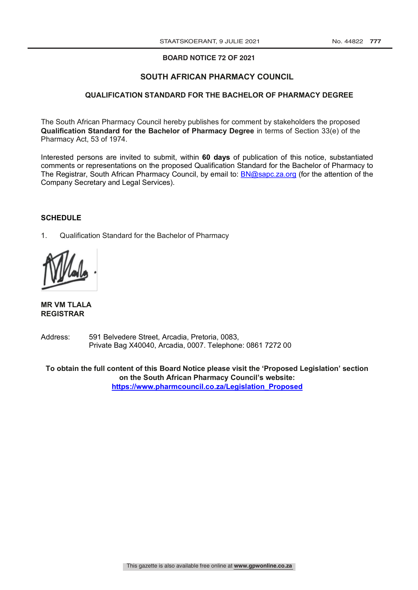### **BOARD NOTICE NO \_\_\_ OF BOARD NOTICE 72 OF 2021 2021**

### **SOUTH AFRICAN PHARMACY COUNCIL**

#### **QUALIFICATION STANDARD FOR THE BACHELOR OF PHARMACY DEGREE**

The South African Pharmacy Council hereby publishes for comment by stakeholders the proposed **Qualification Standard for the Bachelor of Pharmacy Degree** in terms of Section 33(e) of the Pharmacy Act, 53 of 1974.

Interested persons are invited to submit, within **60 days** of publication of this notice, substantiated comments or representations on the proposed Qualification Standard for the Bachelor of Pharmacy to The Registrar, South African Pharmacy Council, by email to: BN@sapc.za.org (for the attention of the Company Secretary and Legal Services).

#### **SCHEDULE**

1. Qualification Standard for the Bachelor of Pharmacy

**MR VM TLALA REGISTRAR**

Address: 591 Belvedere Street, Arcadia, Pretoria, 0083, Private Bag X40040, Arcadia, 0007. Telephone: 0861 7272 00

**To obtain the full content of this Board Notice please visit the 'Proposed Legislation' section on the South African Pharmacy Council's website: https://www.pharmcouncil.co.za/Legislation\_Proposed**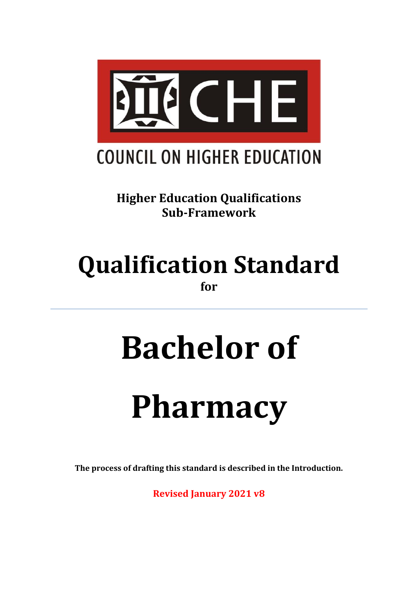

**Higher Education Qualifications Sub-Framework**

# **Qualification Standard for**

# **Bachelor of**

# **Pharmacy**

**The process of drafting this standard is described in the Introduction.**

**Revised January 2021 v8**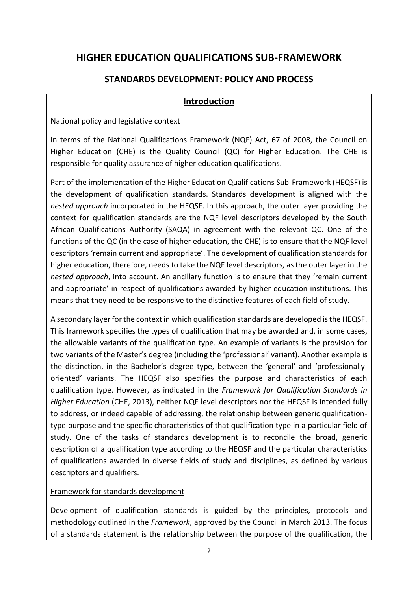## **HIGHER EDUCATION QUALIFICATIONS SUB-FRAMEWORK**

## **STANDARDS DEVELOPMENT: POLICY AND PROCESS**

## **Introduction**

## National policy and legislative context

In terms of the National Qualifications Framework (NQF) Act, 67 of 2008, the Council on Higher Education (CHE) is the Quality Council (QC) for Higher Education. The CHE is responsible for quality assurance of higher education qualifications.

Part of the implementation of the Higher Education Qualifications Sub-Framework (HEQSF) is the development of qualification standards. Standards development is aligned with the *nested approach* incorporated in the HEQSF. In this approach, the outer layer providing the context for qualification standards are the NQF level descriptors developed by the South African Qualifications Authority (SAQA) in agreement with the relevant QC. One of the functions of the QC (in the case of higher education, the CHE) is to ensure that the NQF level descriptors 'remain current and appropriate'. The development of qualification standards for higher education, therefore, needs to take the NQF level descriptors, as the outer layer in the *nested approach*, into account. An ancillary function is to ensure that they 'remain current and appropriate' in respect of qualifications awarded by higher education institutions. This means that they need to be responsive to the distinctive features of each field of study.

A secondary layer for the context in which qualification standards are developed is the HEQSF. This framework specifies the types of qualification that may be awarded and, in some cases, the allowable variants of the qualification type. An example of variants is the provision for two variants of the Master's degree (including the 'professional' variant). Another example is the distinction, in the Bachelor's degree type, between the 'general' and 'professionallyoriented' variants. The HEQSF also specifies the purpose and characteristics of each qualification type. However, as indicated in the *Framework for Qualification Standards in Higher Education* (CHE, 2013), neither NQF level descriptors nor the HEQSF is intended fully to address, or indeed capable of addressing, the relationship between generic qualificationtype purpose and the specific characteristics of that qualification type in a particular field of study. One of the tasks of standards development is to reconcile the broad, generic description of a qualification type according to the HEQSF and the particular characteristics of qualifications awarded in diverse fields of study and disciplines, as defined by various descriptors and qualifiers.

## Framework for standards development

Development of qualification standards is guided by the principles, protocols and methodology outlined in the *Framework*, approved by the Council in March 2013. The focus of a standards statement is the relationship between the purpose of the qualification, the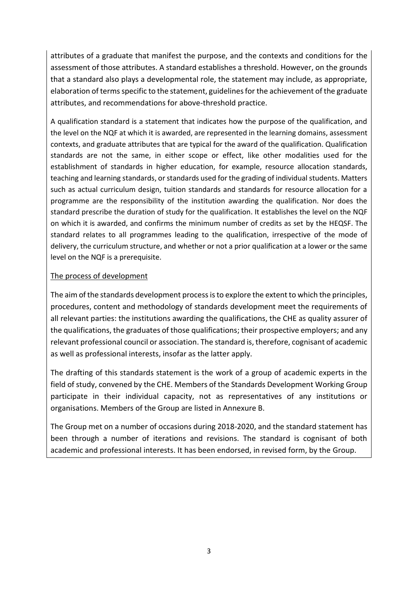attributes of a graduate that manifest the purpose, and the contexts and conditions for the assessment of those attributes. A standard establishes a threshold. However, on the grounds that a standard also plays a developmental role, the statement may include, as appropriate, elaboration of terms specific to the statement, guidelines for the achievement of the graduate attributes, and recommendations for above-threshold practice.

A qualification standard is a statement that indicates how the purpose of the qualification, and the level on the NQF at which it is awarded, are represented in the learning domains, assessment contexts, and graduate attributes that are typical for the award of the qualification. Qualification standards are not the same, in either scope or effect, like other modalities used for the establishment of standards in higher education, for example, resource allocation standards, teaching and learning standards, or standards used for the grading of individual students. Matters such as actual curriculum design, tuition standards and standards for resource allocation for a programme are the responsibility of the institution awarding the qualification. Nor does the standard prescribe the duration of study for the qualification. It establishes the level on the NQF on which it is awarded, and confirms the minimum number of credits as set by the HEQSF. The standard relates to all programmes leading to the qualification, irrespective of the mode of delivery, the curriculum structure, and whether or not a prior qualification at a lower or the same level on the NQF is a prerequisite.

## The process of development

The aim of the standards development process is to explore the extent to which the principles, procedures, content and methodology of standards development meet the requirements of all relevant parties: the institutions awarding the qualifications, the CHE as quality assurer of the qualifications, the graduates of those qualifications; their prospective employers; and any relevant professional council or association. The standard is, therefore, cognisant of academic as well as professional interests, insofar as the latter apply.

The drafting of this standards statement is the work of a group of academic experts in the field of study, convened by the CHE. Members of the Standards Development Working Group participate in their individual capacity, not as representatives of any institutions or organisations. Members of the Group are listed in Annexure B.

The Group met on a number of occasions during 2018-2020, and the standard statement has been through a number of iterations and revisions. The standard is cognisant of both academic and professional interests. It has been endorsed, in revised form, by the Group.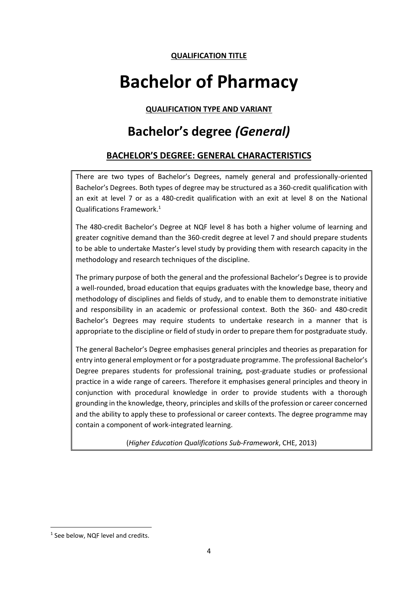## **QUALIFICATION TITLE**

# **Bachelor of Pharmacy**

**QUALIFICATION TYPE AND VARIANT**

# **Bachelor's degree** *(General)*

## **BACHELOR'S DEGREE: GENERAL CHARACTERISTICS**

There are two types of Bachelor's Degrees, namely general and professionally-oriented Bachelor's Degrees. Both types of degree may be structured as a 360-credit qualification with an exit at level 7 or as a 480-credit qualification with an exit at level 8 on the National Qualifications Framework. 1

The 480-credit Bachelor's Degree at NQF level 8 has both a higher volume of learning and greater cognitive demand than the 360-credit degree at level 7 and should prepare students to be able to undertake Master's level study by providing them with research capacity in the methodology and research techniques of the discipline.

The primary purpose of both the general and the professional Bachelor's Degree is to provide a well-rounded, broad education that equips graduates with the knowledge base, theory and methodology of disciplines and fields of study, and to enable them to demonstrate initiative and responsibility in an academic or professional context. Both the 360- and 480-credit Bachelor's Degrees may require students to undertake research in a manner that is appropriate to the discipline or field of study in order to prepare them for postgraduate study.

The general Bachelor's Degree emphasises general principles and theories as preparation for entry into general employment or for a postgraduate programme. The professional Bachelor's Degree prepares students for professional training, post-graduate studies or professional practice in a wide range of careers. Therefore it emphasises general principles and theory in conjunction with procedural knowledge in order to provide students with a thorough grounding in the knowledge, theory, principles and skills of the profession or career concerned and the ability to apply these to professional or career contexts. The degree programme may contain a component of work-integrated learning.

(*Higher Education Qualifications Sub-Framework*, CHE, 2013)

<sup>&</sup>lt;sup>1</sup> See below, NQF level and credits.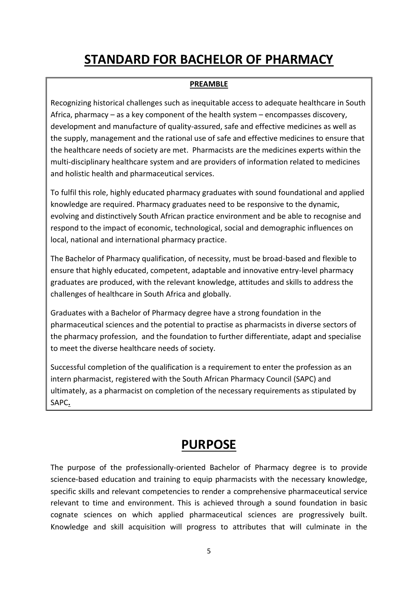# **STANDARD FOR BACHELOR OF PHARMACY**

## **PREAMBLE**

Recognizing historical challenges such as inequitable access to adequate healthcare in South Africa, pharmacy – as a key component of the health system – encompasses discovery, development and manufacture of quality-assured, safe and effective medicines as well as the supply, management and the rational use of safe and effective medicines to ensure that the healthcare needs of society are met. Pharmacists are the medicines experts within the multi-disciplinary healthcare system and are providers of information related to medicines and holistic health and pharmaceutical services.

To fulfil this role, highly educated pharmacy graduates with sound foundational and applied knowledge are required. Pharmacy graduates need to be responsive to the dynamic, evolving and distinctively South African practice environment and be able to recognise and respond to the impact of economic, technological, social and demographic influences on local, national and international pharmacy practice.

The Bachelor of Pharmacy qualification, of necessity, must be broad-based and flexible to ensure that highly educated, competent, adaptable and innovative entry-level pharmacy graduates are produced, with the relevant knowledge, attitudes and skills to address the challenges of healthcare in South Africa and globally.

Graduates with a Bachelor of Pharmacy degree have a strong foundation in the pharmaceutical sciences and the potential to practise as pharmacists in diverse sectors of the pharmacy profession, and the foundation to further differentiate, adapt and specialise to meet the diverse healthcare needs of society.

Successful completion of the qualification is a requirement to enter the profession as an intern pharmacist, registered with the South African Pharmacy Council (SAPC) and ultimately, as a pharmacist on completion of the necessary requirements as stipulated by SAPC**.**

## **PURPOSE**

The purpose of the professionally-oriented Bachelor of Pharmacy degree is to provide science-based education and training to equip pharmacists with the necessary knowledge, specific skills and relevant competencies to render a comprehensive pharmaceutical service relevant to time and environment. This is achieved through a sound foundation in basic cognate sciences on which applied pharmaceutical sciences are progressively built. Knowledge and skill acquisition will progress to attributes that will culminate in the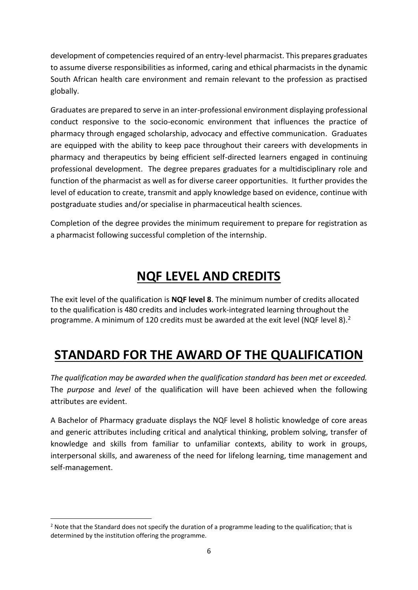development of competencies required of an entry-level pharmacist. This prepares graduates to assume diverse responsibilities as informed, caring and ethical pharmacists in the dynamic South African health care environment and remain relevant to the profession as practised globally.

Graduates are prepared to serve in an inter-professional environment displaying professional conduct responsive to the socio-economic environment that influences the practice of pharmacy through engaged scholarship, advocacy and effective communication. Graduates are equipped with the ability to keep pace throughout their careers with developments in pharmacy and therapeutics by being efficient self-directed learners engaged in continuing professional development. The degree prepares graduates for a multidisciplinary role and function of the pharmacist as well as for diverse career opportunities. It further provides the level of education to create, transmit and apply knowledge based on evidence, continue with postgraduate studies and/or specialise in pharmaceutical health sciences.

Completion of the degree provides the minimum requirement to prepare for registration as a pharmacist following successful completion of the internship.

# **NQF LEVEL AND CREDITS**

The exit level of the qualification is **NQF level 8**. The minimum number of credits allocated to the qualification is 480 credits and includes work-integrated learning throughout the programme. A minimum of 120 credits must be awarded at the exit level (NQF level 8).<sup>2</sup>

# **STANDARD FOR THE AWARD OF THE QUALIFICATION**

*The qualification may be awarded when the qualification standard has been met or exceeded.*  The *purpose* and *level* of the qualification will have been achieved when the following attributes are evident.

A Bachelor of Pharmacy graduate displays the NQF level 8 holistic knowledge of core areas and generic attributes including critical and analytical thinking, problem solving, transfer of knowledge and skills from familiar to unfamiliar contexts, ability to work in groups, interpersonal skills, and awareness of the need for lifelong learning, time management and self-management.

 $2$  Note that the Standard does not specify the duration of a programme leading to the qualification; that is determined by the institution offering the programme.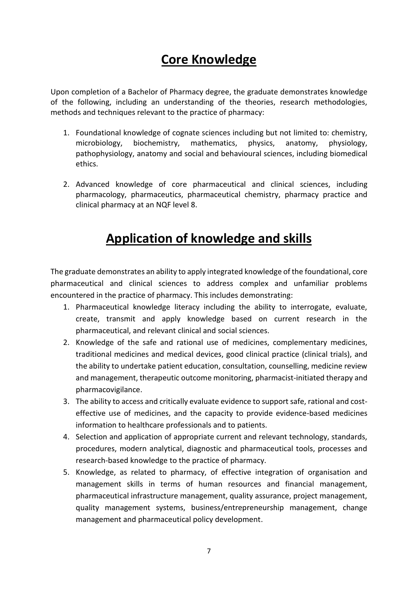# **Core Knowledge**

Upon completion of a Bachelor of Pharmacy degree, the graduate demonstrates knowledge of the following, including an understanding of the theories, research methodologies, methods and techniques relevant to the practice of pharmacy:

- 1. Foundational knowledge of cognate sciences including but not limited to: chemistry, microbiology, biochemistry, mathematics, physics, anatomy, physiology, pathophysiology, anatomy and social and behavioural sciences, including biomedical ethics.
- 2. Advanced knowledge of core pharmaceutical and clinical sciences, including pharmacology, pharmaceutics, pharmaceutical chemistry, pharmacy practice and clinical pharmacy at an NQF level 8.

# **Application of knowledge and skills**

The graduate demonstrates an ability to apply integrated knowledge of the foundational, core pharmaceutical and clinical sciences to address complex and unfamiliar problems encountered in the practice of pharmacy. This includes demonstrating:

- 1. Pharmaceutical knowledge literacy including the ability to interrogate, evaluate, create, transmit and apply knowledge based on current research in the pharmaceutical, and relevant clinical and social sciences.
- 2. Knowledge of the safe and rational use of medicines, complementary medicines, traditional medicines and medical devices, good clinical practice (clinical trials), and the ability to undertake patient education, consultation, counselling, medicine review and management, therapeutic outcome monitoring, pharmacist-initiated therapy and pharmacovigilance.
- 3. The ability to access and critically evaluate evidence to support safe, rational and costeffective use of medicines, and the capacity to provide evidence-based medicines information to healthcare professionals and to patients.
- 4. Selection and application of appropriate current and relevant technology, standards, procedures, modern analytical, diagnostic and pharmaceutical tools, processes and research-based knowledge to the practice of pharmacy.
- 5. Knowledge, as related to pharmacy, of effective integration of organisation and management skills in terms of human resources and financial management, pharmaceutical infrastructure management, quality assurance, project management, quality management systems, business/entrepreneurship management, change management and pharmaceutical policy development.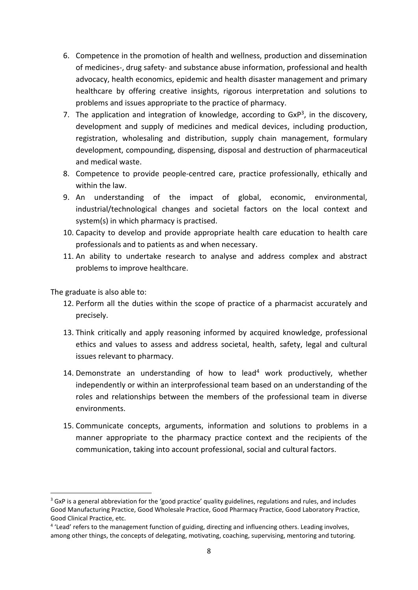- 6. Competence in the promotion of health and wellness, production and dissemination of medicines-, drug safety- and substance abuse information, professional and health advocacy, health economics, epidemic and health disaster management and primary healthcare by offering creative insights, rigorous interpretation and solutions to problems and issues appropriate to the practice of pharmacy.
- 7. The application and integration of knowledge, according to  $GXP<sup>3</sup>$ , in the discovery, development and supply of medicines and medical devices, including production, registration, wholesaling and distribution, supply chain management, formulary development, compounding, dispensing, disposal and destruction of pharmaceutical and medical waste.
- 8. Competence to provide people-centred care, practice professionally, ethically and within the law.
- 9. An understanding of the impact of global, economic, environmental, industrial/technological changes and societal factors on the local context and system(s) in which pharmacy is practised.
- 10. Capacity to develop and provide appropriate health care education to health care professionals and to patients as and when necessary.
- 11. An ability to undertake research to analyse and address complex and abstract problems to improve healthcare.

The graduate is also able to:

- 12. Perform all the duties within the scope of practice of a pharmacist accurately and precisely.
- 13. Think critically and apply reasoning informed by acquired knowledge, professional ethics and values to assess and address societal, health, safety, legal and cultural issues relevant to pharmacy.
- 14. Demonstrate an understanding of how to lead<sup>4</sup> work productively, whether independently or within an interprofessional team based on an understanding of the roles and relationships between the members of the professional team in diverse environments.
- 15. Communicate concepts, arguments, information and solutions to problems in a manner appropriate to the pharmacy practice context and the recipients of the communication, taking into account professional, social and cultural factors.

<sup>&</sup>lt;sup>3</sup> GxP is a general abbreviation for the 'good practice' quality guidelines, regulations and rules, and includes Good Manufacturing Practice, Good Wholesale Practice, Good Pharmacy Practice, Good Laboratory Practice, Good Clinical Practice, etc.

<sup>&</sup>lt;sup>4</sup> 'Lead' refers to the management function of guiding, directing and influencing others. Leading involves, among other things, the concepts of delegating, motivating, coaching, supervising, mentoring and tutoring.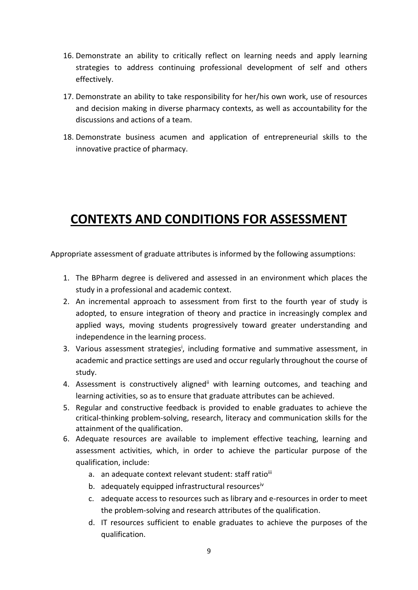- 16. Demonstrate an ability to critically reflect on learning needs and apply learning strategies to address continuing professional development of self and others effectively.
- 17. Demonstrate an ability to take responsibility for her/his own work, use of resources and decision making in diverse pharmacy contexts, as well as accountability for the discussions and actions of a team.
- 18. Demonstrate business acumen and application of entrepreneurial skills to the innovative practice of pharmacy.

# **CONTEXTS AND CONDITIONS FOR ASSESSMENT**

Appropriate assessment of graduate attributes is informed by the following assumptions:

- 1. The BPharm degree is delivered and assessed in an environment which places the study in a professional and academic context.
- 2. An incremental approach to assessment from first to the fourth year of study is adopted, to ensure integration of theory and practice in increasingly complex and applied ways, moving students progressively toward greater understanding and independence in the learning process.
- 3. Various assessment strategies<sup>i</sup>, including formative and summative assessment, in academic and practice settings are used and occur regularly throughout the course of study.
- 4. Assessment is constructively aligned<sup>ii</sup> with learning outcomes, and teaching and learning activities, so as to ensure that graduate attributes can be achieved.
- 5. Regular and constructive feedback is provided to enable graduates to achieve the critical-thinking problem-solving, research, literacy and communication skills for the attainment of the qualification.
- 6. Adequate resources are available to implement effective teaching, learning and assessment activities, which, in order to achieve the particular purpose of the qualification, include:
	- a. an adequate context relevant student: staff ratioiii
	- b. adequately equipped infrastructural resourcesiv
	- c. adequate access to resources such as library and e-resources in order to meet the problem-solving and research attributes of the qualification.
	- d. IT resources sufficient to enable graduates to achieve the purposes of the qualification.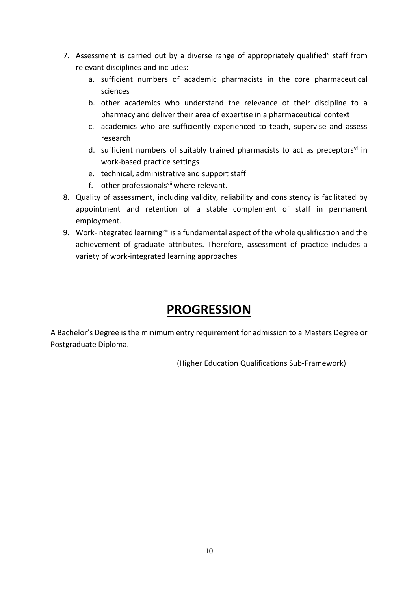- 7. Assessment is carried out by a diverse range of appropriately qualified<sup>v</sup> staff from relevant disciplines and includes:
	- a. sufficient numbers of academic pharmacists in the core pharmaceutical sciences
	- b. other academics who understand the relevance of their discipline to a pharmacy and deliver their area of expertise in a pharmaceutical context
	- c. academics who are sufficiently experienced to teach, supervise and assess research
	- d. sufficient numbers of suitably trained pharmacists to act as preceptors $\theta$  in work-based practice settings
	- e. technical, administrative and support staff
	- f. other professionals<sup>vii</sup> where relevant.
- 8. Quality of assessment, including validity, reliability and consistency is facilitated by appointment and retention of a stable complement of staff in permanent employment.
- 9. Work-integrated learning<sup>viii</sup> is a fundamental aspect of the whole qualification and the achievement of graduate attributes. Therefore, assessment of practice includes a variety of work-integrated learning approaches

## **PROGRESSION**

A Bachelor's Degree is the minimum entry requirement for admission to a Masters Degree or Postgraduate Diploma.

(Higher Education Qualifications Sub-Framework)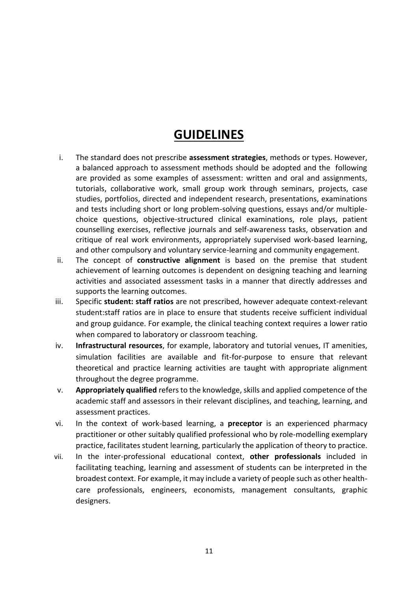## **GUIDELINES**

- i. The standard does not prescribe **assessment strategies**, methods or types. However, a balanced approach to assessment methods should be adopted and the following are provided as some examples of assessment: written and oral and assignments, tutorials, collaborative work, small group work through seminars, projects, case studies, portfolios, directed and independent research, presentations, examinations and tests including short or long problem-solving questions, essays and/or multiplechoice questions, objective-structured clinical examinations, role plays, patient counselling exercises, reflective journals and self-awareness tasks, observation and critique of real work environments, appropriately supervised work-based learning, and other compulsory and voluntary service-learning and community engagement.
- ii. The concept of **constructive alignment** is based on the premise that student achievement of learning outcomes is dependent on designing teaching and learning activities and associated assessment tasks in a manner that directly addresses and supports the learning outcomes.
- iii. Specific **student: staff ratios** are not prescribed, however adequate context-relevant student:staff ratios are in place to ensure that students receive sufficient individual and group guidance. For example, the clinical teaching context requires a lower ratio when compared to laboratory or classroom teaching.
- iv. **Infrastructural resources**, for example, laboratory and tutorial venues, IT amenities, simulation facilities are available and fit-for-purpose to ensure that relevant theoretical and practice learning activities are taught with appropriate alignment throughout the degree programme.
- v. **Appropriately qualified** refers to the knowledge, skills and applied competence of the academic staff and assessors in their relevant disciplines, and teaching, learning, and assessment practices.
- vi. In the context of work-based learning, a **preceptor** is an experienced pharmacy practitioner or other suitably qualified professional who by role-modelling exemplary practice, facilitates student learning, particularly the application of theory to practice.
- vii. In the inter-professional educational context, **other professionals** included in facilitating teaching, learning and assessment of students can be interpreted in the broadest context. For example, it may include a variety of people such as other healthcare professionals, engineers, economists, management consultants, graphic designers.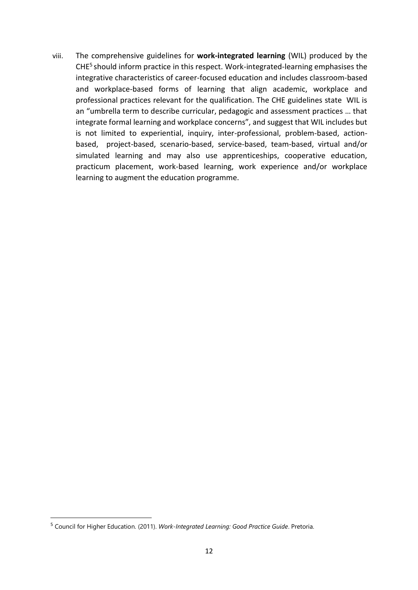viii. The comprehensive guidelines for **work-integrated learning** (WIL) produced by the CHE<sup>5</sup> should inform practice in this respect. Work-integrated-learning emphasises the integrative characteristics of career-focused education and includes classroom-based and workplace-based forms of learning that align academic, workplace and professional practices relevant for the qualification. The CHE guidelines state WIL is an "umbrella term to describe curricular, pedagogic and assessment practices … that integrate formal learning and workplace concerns", and suggest that WIL includes but is not limited to experiential, inquiry, inter-professional, problem-based, actionbased, project-based, scenario-based, service-based, team-based, virtual and/or simulated learning and may also use apprenticeships, cooperative education, practicum placement, work-based learning, work experience and/or workplace learning to augment the education programme.

<sup>5</sup> Council for Higher Education. (2011). *Work-Integrated Learning: Good Practice Guide*. Pretoria.